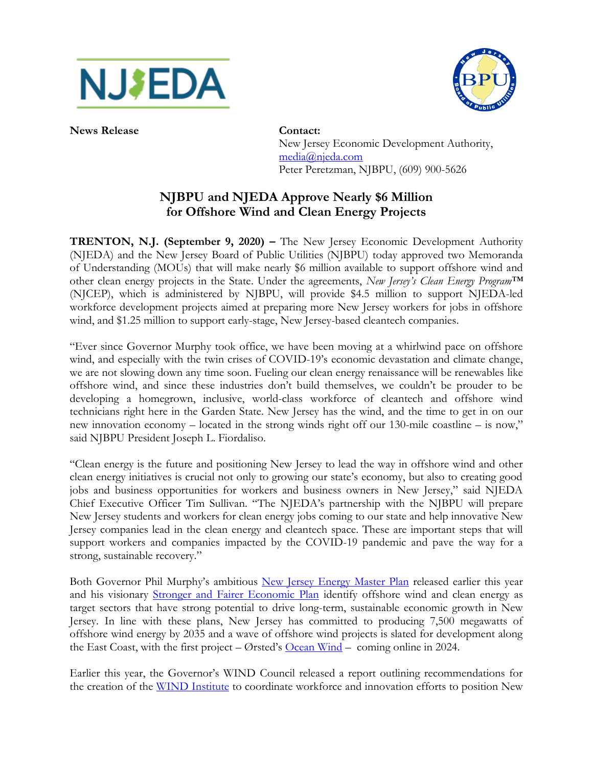



**News Release Contact:**

New Jersey Economic Development Authority, [media@njeda.com](mailto:media@njeda.com) Peter Peretzman, NJBPU, (609) 900-5626

## **NJBPU and NJEDA Approve Nearly \$6 Million for Offshore Wind and Clean Energy Projects**

**TRENTON, N.J. (September 9, 2020) –** The New Jersey Economic Development Authority (NJEDA) and the New Jersey Board of Public Utilities (NJBPU) today approved two Memoranda of Understanding (MOUs) that will make nearly \$6 million available to support offshore wind and other clean energy projects in the State. Under the agreements, *New Jersey's Clean Energy Program™* (NJCEP), which is administered by NJBPU, will provide \$4.5 million to support NJEDA-led workforce development projects aimed at preparing more New Jersey workers for jobs in offshore wind, and \$1.25 million to support early-stage, New Jersey-based cleantech companies.

"Ever since Governor Murphy took office, we have been moving at a whirlwind pace on offshore wind, and especially with the twin crises of COVID-19's economic devastation and climate change, we are not slowing down any time soon. Fueling our clean energy renaissance will be renewables like offshore wind, and since these industries don't build themselves, we couldn't be prouder to be developing a homegrown, inclusive, world-class workforce of cleantech and offshore wind technicians right here in the Garden State. New Jersey has the wind, and the time to get in on our new innovation economy – located in the strong winds right off our 130-mile coastline – is now," said NJBPU President Joseph L. Fiordaliso.

"Clean energy is the future and positioning New Jersey to lead the way in offshore wind and other clean energy initiatives is crucial not only to growing our state's economy, but also to creating good jobs and business opportunities for workers and business owners in New Jersey," said NJEDA Chief Executive Officer Tim Sullivan. "The NJEDA's partnership with the NJBPU will prepare New Jersey students and workers for clean energy jobs coming to our state and help innovative New Jersey companies lead in the clean energy and cleantech space. These are important steps that will support workers and companies impacted by the COVID-19 pandemic and pave the way for a strong, sustainable recovery."

Both Governor Phil Murphy's ambitious [New Jersey Energy Master Plan](https://nj.gov/emp/) released earlier this year and his visionary [Stronger and Fairer Economic Plan](https://nj.gov/economicplan) identify offshore wind and clean energy as target sectors that have strong potential to drive long-term, sustainable economic growth in New Jersey. In line with these plans, New Jersey has committed to producing 7,500 megawatts of offshore wind energy by 2035 and a wave of offshore wind projects is slated for development along the East Coast, with the first project – Ørsted's <u>[Ocean Wind](https://oceanwind.com/)</u> – coming online in 2024.

Earlier this year, the Governor's WIND Council released a report outlining recommendations for the creation of the [WIND Institute](https://www.njeda.com/OET/Offshore_Wind/WIND-Institute) to coordinate workforce and innovation efforts to position New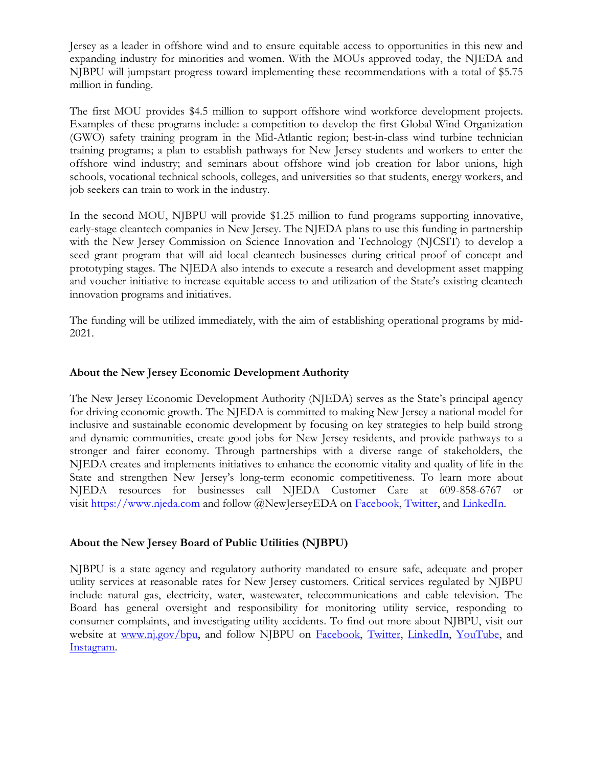Jersey as a leader in offshore wind and to ensure equitable access to opportunities in this new and expanding industry for minorities and women. With the MOUs approved today, the NJEDA and NJBPU will jumpstart progress toward implementing these recommendations with a total of \$5.75 million in funding.

The first MOU provides \$4.5 million to support offshore wind workforce development projects. Examples of these programs include: a competition to develop the first Global Wind Organization (GWO) safety training program in the Mid-Atlantic region; best-in-class wind turbine technician training programs; a plan to establish pathways for New Jersey students and workers to enter the offshore wind industry; and seminars about offshore wind job creation for labor unions, high schools, vocational technical schools, colleges, and universities so that students, energy workers, and job seekers can train to work in the industry.

In the second MOU, NJBPU will provide \$1.25 million to fund programs supporting innovative, early-stage cleantech companies in New Jersey. The NJEDA plans to use this funding in partnership with the New Jersey Commission on Science Innovation and Technology (NJCSIT) to develop a seed grant program that will aid local cleantech businesses during critical proof of concept and prototyping stages. The NJEDA also intends to execute a research and development asset mapping and voucher initiative to increase equitable access to and utilization of the State's existing cleantech innovation programs and initiatives.

The funding will be utilized immediately, with the aim of establishing operational programs by mid-2021.

## **About the New Jersey Economic Development Authority**

The New Jersey Economic Development Authority (NJEDA) serves as the State's principal agency for driving economic growth. The NJEDA is committed to making New Jersey a national model for inclusive and sustainable economic development by focusing on key strategies to help build strong and dynamic communities, create good jobs for New Jersey residents, and provide pathways to a stronger and fairer economy. Through partnerships with a diverse range of stakeholders, the NJEDA creates and implements initiatives to enhance the economic vitality and quality of life in the State and strengthen New Jersey's long-term economic competitiveness. To learn more about NJEDA resources for businesses call NJEDA Customer Care at 609-858-6767 or visit [https://www.njeda.com](https://www.njeda.com/small_midsize_business) and follow @NewJerseyEDA on [Facebook,](https://www.facebook.com/NewJerseyEDA/) [Twitter,](http://twitter.com/NewJerseyEDA) and [LinkedIn.](https://www.linkedin.com/company/njeda/)

## **About the New Jersey Board of Public Utilities (NJBPU)**

NJBPU is a state agency and regulatory authority mandated to ensure safe, adequate and proper utility services at reasonable rates for New Jersey customers. Critical services regulated by NJBPU include natural gas, electricity, water, wastewater, telecommunications and cable television. The Board has general oversight and responsibility for monitoring utility service, responding to consumer complaints, and investigating utility accidents. To find out more about NJBPU, visit our website at [www.nj.gov/bpu,](http://www.nj.gov/bpu) and follow NJBPU on [Facebook,](https://www.facebook.com/njbpu) [Twitter,](https://twitter.com/njbpu) [LinkedIn,](https://www.linkedin.com/company/263580/admin/) [YouTube,](https://www.youtube.com/c/NewJerseyBoardofPublicUtilitiesNJBPU) and [Instagram.](https://www.instagram.com/njboardofpublicutilities/)